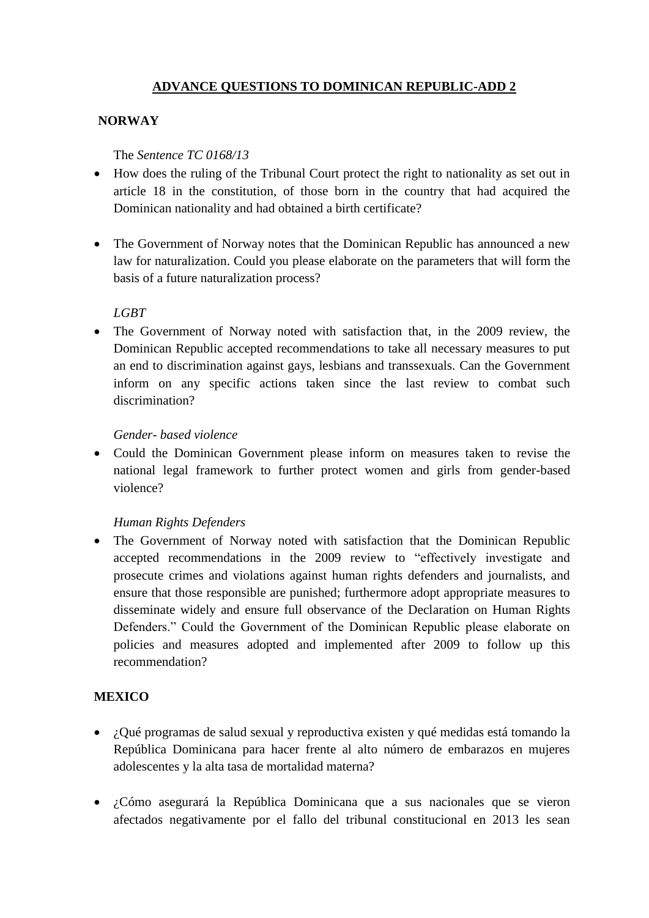## **ADVANCE QUESTIONS TO DOMINICAN REPUBLIC-ADD 2**

## **NORWAY**

#### The *Sentence TC 0168/13*

- How does the ruling of the Tribunal Court protect the right to nationality as set out in article 18 in the constitution, of those born in the country that had acquired the Dominican nationality and had obtained a birth certificate?
- The Government of Norway notes that the Dominican Republic has announced a new law for naturalization. Could you please elaborate on the parameters that will form the basis of a future naturalization process?

## *LGBT*

• The Government of Norway noted with satisfaction that, in the 2009 review, the Dominican Republic accepted recommendations to take all necessary measures to put an end to discrimination against gays, lesbians and transsexuals. Can the Government inform on any specific actions taken since the last review to combat such discrimination?

#### *Gender- based violence*

 Could the Dominican Government please inform on measures taken to revise the national legal framework to further protect women and girls from gender-based violence?

## *Human Rights Defenders*

 The Government of Norway noted with satisfaction that the Dominican Republic accepted recommendations in the 2009 review to "effectively investigate and prosecute crimes and violations against human rights defenders and journalists, and ensure that those responsible are punished; furthermore adopt appropriate measures to disseminate widely and ensure full observance of the Declaration on Human Rights Defenders." Could the Government of the Dominican Republic please elaborate on policies and measures adopted and implemented after 2009 to follow up this recommendation?

## **MEXICO**

- ¿Qué programas de salud sexual y reproductiva existen y qué medidas está tomando la República Dominicana para hacer frente al alto número de embarazos en mujeres adolescentes y la alta tasa de mortalidad materna?
- ¿Cómo asegurará la República Dominicana que a sus nacionales que se vieron afectados negativamente por el fallo del tribunal constitucional en 2013 les sean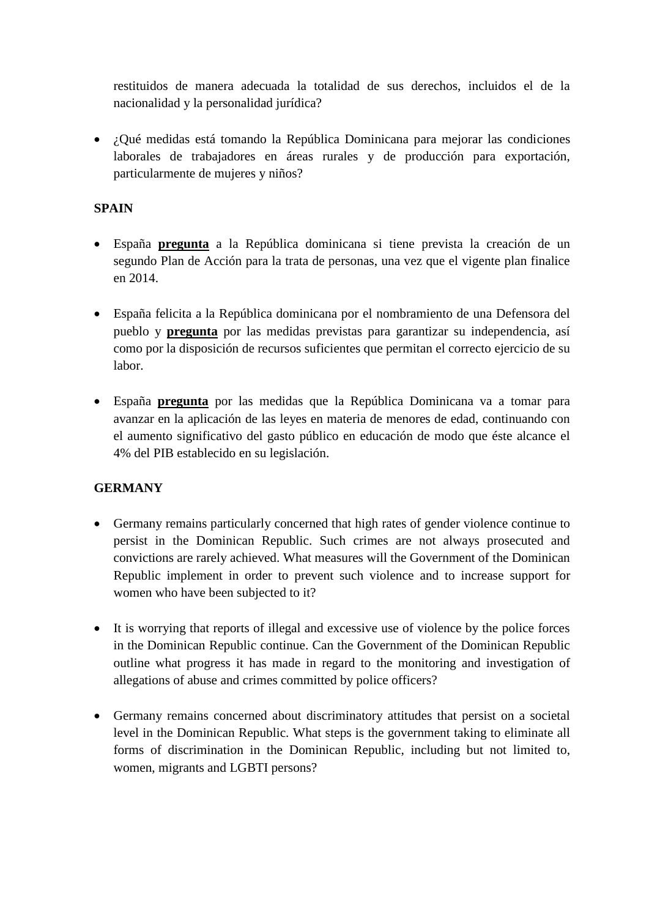restituidos de manera adecuada la totalidad de sus derechos, incluidos el de la nacionalidad y la personalidad jurídica?

• *i*. Oué medidas está tomando la República Dominicana para mejorar las condiciones laborales de trabajadores en áreas rurales y de producción para exportación, particularmente de mujeres y niños?

## **SPAIN**

- España **pregunta** a la República dominicana si tiene prevista la creación de un segundo Plan de Acción para la trata de personas, una vez que el vigente plan finalice en 2014.
- España felicita a la República dominicana por el nombramiento de una Defensora del pueblo y **pregunta** por las medidas previstas para garantizar su independencia, así como por la disposición de recursos suficientes que permitan el correcto ejercicio de su labor.
- España **pregunta** por las medidas que la República Dominicana va a tomar para avanzar en la aplicación de las leyes en materia de menores de edad, continuando con el aumento significativo del gasto público en educación de modo que éste alcance el 4% del PIB establecido en su legislación.

# **GERMANY**

- Germany remains particularly concerned that high rates of gender violence continue to persist in the Dominican Republic. Such crimes are not always prosecuted and convictions are rarely achieved. What measures will the Government of the Dominican Republic implement in order to prevent such violence and to increase support for women who have been subjected to it?
- It is worrying that reports of illegal and excessive use of violence by the police forces in the Dominican Republic continue. Can the Government of the Dominican Republic outline what progress it has made in regard to the monitoring and investigation of allegations of abuse and crimes committed by police officers?
- Germany remains concerned about discriminatory attitudes that persist on a societal level in the Dominican Republic. What steps is the government taking to eliminate all forms of discrimination in the Dominican Republic, including but not limited to, women, migrants and LGBTI persons?